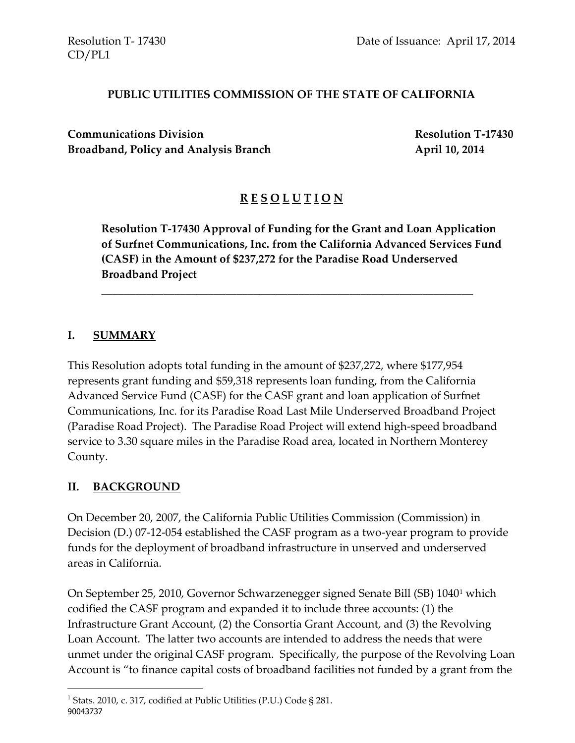### **PUBLIC UTILITIES COMMISSION OF THE STATE OF CALIFORNIA**

**Communications Division Resolution T-17430**  Broadband, Policy and Analysis Branch **April 10, 2014** 

# **R E S O L U T I O N**

**Resolution T-17430 Approval of Funding for the Grant and Loan Application of Surfnet Communications, Inc. from the California Advanced Services Fund (CASF) in the Amount of \$237,272 for the Paradise Road Underserved Broadband Project**

\_\_\_\_\_\_\_\_\_\_\_\_\_\_\_\_\_\_\_\_\_\_\_\_\_\_\_\_\_\_\_\_\_\_\_\_\_\_\_\_\_\_\_\_\_\_\_\_\_\_\_\_\_\_\_\_\_\_\_\_\_\_\_\_\_\_

#### **I. SUMMARY**

This Resolution adopts total funding in the amount of \$237,272, where \$177,954 represents grant funding and \$59,318 represents loan funding, from the California Advanced Service Fund (CASF) for the CASF grant and loan application of Surfnet Communications, Inc. for its Paradise Road Last Mile Underserved Broadband Project (Paradise Road Project). The Paradise Road Project will extend high-speed broadband service to 3.30 square miles in the Paradise Road area, located in Northern Monterey County.

#### **II. BACKGROUND**

 $\overline{a}$ 

On December 20, 2007, the California Public Utilities Commission (Commission) in Decision (D.) 07-12-054 established the CASF program as a two-year program to provide funds for the deployment of broadband infrastructure in unserved and underserved areas in California.

On September 25, 2010, Governor Schwarzenegger signed Senate Bill (SB) 1040<sup>1</sup> which codified the CASF program and expanded it to include three accounts: (1) the Infrastructure Grant Account, (2) the Consortia Grant Account, and (3) the Revolving Loan Account. The latter two accounts are intended to address the needs that were unmet under the original CASF program. Specifically, the purpose of the Revolving Loan Account is "to finance capital costs of broadband facilities not funded by a grant from the

<sup>90043737</sup> <sup>1</sup> Stats. 2010, c. 317, codified at Public Utilities (P.U.) Code § 281.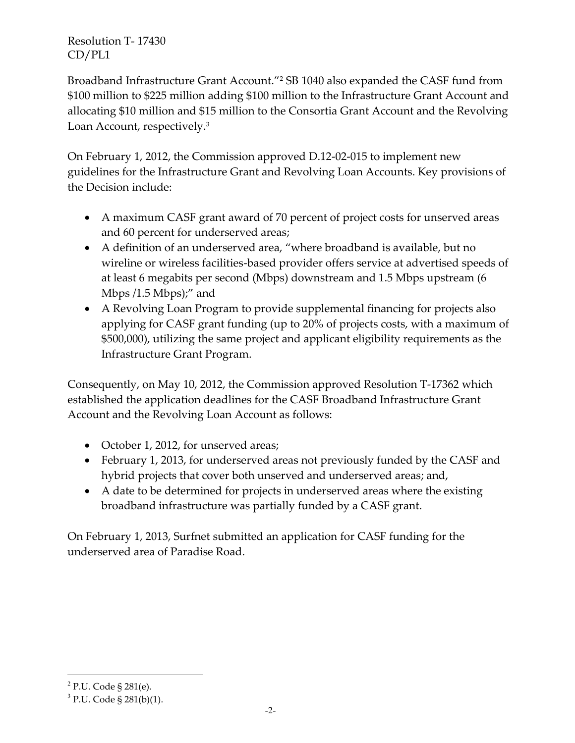Broadband Infrastructure Grant Account."<sup>2</sup> SB 1040 also expanded the CASF fund from \$100 million to \$225 million adding \$100 million to the Infrastructure Grant Account and allocating \$10 million and \$15 million to the Consortia Grant Account and the Revolving Loan Account, respectively.<sup>3</sup>

On February 1, 2012, the Commission approved D.12-02-015 to implement new guidelines for the Infrastructure Grant and Revolving Loan Accounts. Key provisions of the Decision include:

- A maximum CASF grant award of 70 percent of project costs for unserved areas and 60 percent for underserved areas;
- A definition of an underserved area, "where broadband is available, but no wireline or wireless facilities-based provider offers service at advertised speeds of at least 6 megabits per second (Mbps) downstream and 1.5 Mbps upstream (6 Mbps /1.5 Mbps);" and
- A Revolving Loan Program to provide supplemental financing for projects also applying for CASF grant funding (up to 20% of projects costs, with a maximum of \$500,000), utilizing the same project and applicant eligibility requirements as the Infrastructure Grant Program.

Consequently, on May 10, 2012, the Commission approved Resolution T-17362 which established the application deadlines for the CASF Broadband Infrastructure Grant Account and the Revolving Loan Account as follows:

- October 1, 2012, for unserved areas;
- February 1, 2013, for underserved areas not previously funded by the CASF and hybrid projects that cover both unserved and underserved areas; and,
- A date to be determined for projects in underserved areas where the existing broadband infrastructure was partially funded by a CASF grant.

On February 1, 2013, Surfnet submitted an application for CASF funding for the underserved area of Paradise Road.

 $\overline{\phantom{a}}$ 

<sup>&</sup>lt;sup>2</sup> P.U. Code § 281(e).

<sup>&</sup>lt;sup>3</sup> P.U. Code § 281(b)(1).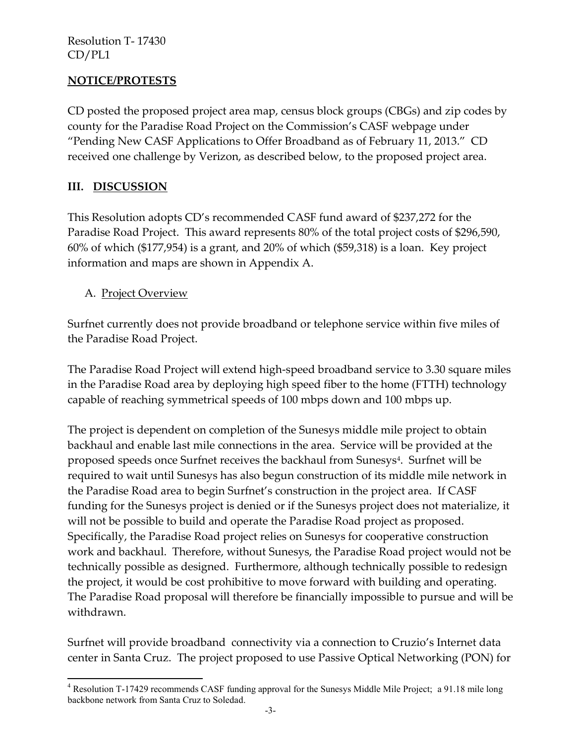### **NOTICE/PROTESTS**

CD posted the proposed project area map, census block groups (CBGs) and zip codes by county for the Paradise Road Project on the Commission's CASF webpage under "Pending New CASF Applications to Offer Broadband as of February 11, 2013." CD received one challenge by Verizon, as described below, to the proposed project area.

#### **III. DISCUSSION**

This Resolution adopts CD's recommended CASF fund award of \$237,272 for the Paradise Road Project. This award represents 80% of the total project costs of \$296,590, 60% of which (\$177,954) is a grant, and 20% of which (\$59,318) is a loan. Key project information and maps are shown in Appendix A.

#### A. Project Overview

Surfnet currently does not provide broadband or telephone service within five miles of the Paradise Road Project.

The Paradise Road Project will extend high-speed broadband service to 3.30 square miles in the Paradise Road area by deploying high speed fiber to the home (FTTH) technology capable of reaching symmetrical speeds of 100 mbps down and 100 mbps up.

The project is dependent on completion of the Sunesys middle mile project to obtain backhaul and enable last mile connections in the area. Service will be provided at the proposed speeds once Surfnet receives the backhaul from Sunesys<sup>4</sup>. Surfnet will be required to wait until Sunesys has also begun construction of its middle mile network in the Paradise Road area to begin Surfnet's construction in the project area. If CASF funding for the Sunesys project is denied or if the Sunesys project does not materialize, it will not be possible to build and operate the Paradise Road project as proposed. Specifically, the Paradise Road project relies on Sunesys for cooperative construction work and backhaul. Therefore, without Sunesys, the Paradise Road project would not be technically possible as designed. Furthermore, although technically possible to redesign the project, it would be cost prohibitive to move forward with building and operating. The Paradise Road proposal will therefore be financially impossible to pursue and will be withdrawn.

Surfnet will provide broadband connectivity via a connection to Cruzio's Internet data center in Santa Cruz. The project proposed to use Passive Optical Networking (PON) for

 $\overline{\phantom{a}}$ <sup>4</sup> Resolution T-17429 recommends CASF funding approval for the Sunesys Middle Mile Project; a 91.18 mile long backbone network from Santa Cruz to Soledad.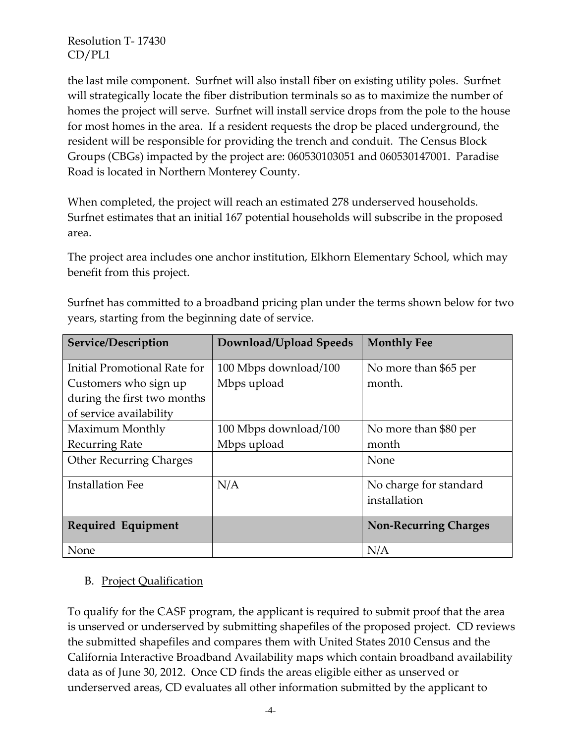the last mile component. Surfnet will also install fiber on existing utility poles. Surfnet will strategically locate the fiber distribution terminals so as to maximize the number of homes the project will serve. Surfnet will install service drops from the pole to the house for most homes in the area. If a resident requests the drop be placed underground, the resident will be responsible for providing the trench and conduit. The Census Block Groups (CBGs) impacted by the project are: 060530103051 and 060530147001. Paradise Road is located in Northern Monterey County.

When completed, the project will reach an estimated 278 underserved households. Surfnet estimates that an initial 167 potential households will subscribe in the proposed area.

The project area includes one anchor institution, Elkhorn Elementary School, which may benefit from this project.

| Service/Description            | Download/Upload Speeds | <b>Monthly Fee</b>           |
|--------------------------------|------------------------|------------------------------|
| Initial Promotional Rate for   | 100 Mbps download/100  | No more than \$65 per        |
| Customers who sign up          | Mbps upload            | month.                       |
| during the first two months    |                        |                              |
| of service availability        |                        |                              |
| Maximum Monthly                | 100 Mbps download/100  | No more than \$80 per        |
| <b>Recurring Rate</b>          | Mbps upload            | month                        |
| <b>Other Recurring Charges</b> |                        | None                         |
| <b>Installation Fee</b>        | N/A                    | No charge for standard       |
|                                |                        | installation                 |
| Required Equipment             |                        | <b>Non-Recurring Charges</b> |
| None                           |                        | N/A                          |

Surfnet has committed to a broadband pricing plan under the terms shown below for two years, starting from the beginning date of service.

### B. Project Qualification

To qualify for the CASF program, the applicant is required to submit proof that the area is unserved or underserved by submitting shapefiles of the proposed project. CD reviews the submitted shapefiles and compares them with United States 2010 Census and the California Interactive Broadband Availability maps which contain broadband availability data as of June 30, 2012. Once CD finds the areas eligible either as unserved or underserved areas, CD evaluates all other information submitted by the applicant to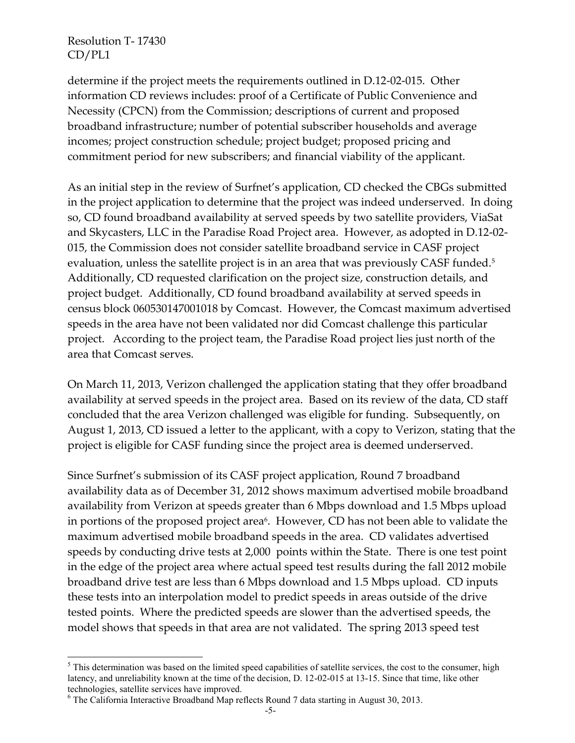determine if the project meets the requirements outlined in D.12-02-015. Other information CD reviews includes: proof of a Certificate of Public Convenience and Necessity (CPCN) from the Commission; descriptions of current and proposed broadband infrastructure; number of potential subscriber households and average incomes; project construction schedule; project budget; proposed pricing and commitment period for new subscribers; and financial viability of the applicant.

As an initial step in the review of Surfnet's application, CD checked the CBGs submitted in the project application to determine that the project was indeed underserved. In doing so, CD found broadband availability at served speeds by two satellite providers, ViaSat and Skycasters, LLC in the Paradise Road Project area. However, as adopted in D.12-02- 015, the Commission does not consider satellite broadband service in CASF project evaluation, unless the satellite project is in an area that was previously CASF funded.<sup>5</sup> Additionally, CD requested clarification on the project size, construction details, and project budget. Additionally, CD found broadband availability at served speeds in census block 060530147001018 by Comcast. However, the Comcast maximum advertised speeds in the area have not been validated nor did Comcast challenge this particular project. According to the project team, the Paradise Road project lies just north of the area that Comcast serves.

On March 11, 2013, Verizon challenged the application stating that they offer broadband availability at served speeds in the project area. Based on its review of the data, CD staff concluded that the area Verizon challenged was eligible for funding. Subsequently, on August 1, 2013, CD issued a letter to the applicant, with a copy to Verizon, stating that the project is eligible for CASF funding since the project area is deemed underserved.

Since Surfnet's submission of its CASF project application, Round 7 broadband availability data as of December 31, 2012 shows maximum advertised mobile broadband availability from Verizon at speeds greater than 6 Mbps download and 1.5 Mbps upload in portions of the proposed project area<sup>6</sup>. However, CD has not been able to validate the maximum advertised mobile broadband speeds in the area. CD validates advertised speeds by conducting drive tests at 2,000 points within the State. There is one test point in the edge of the project area where actual speed test results during the fall 2012 mobile broadband drive test are less than 6 Mbps download and 1.5 Mbps upload. CD inputs these tests into an interpolation model to predict speeds in areas outside of the drive tested points. Where the predicted speeds are slower than the advertised speeds, the model shows that speeds in that area are not validated. The spring 2013 speed test

 $\overline{a}$ <sup>5</sup> This determination was based on the limited speed capabilities of satellite services, the cost to the consumer, high latency, and unreliability known at the time of the decision, D. 12-02-015 at 13-15. Since that time, like other technologies, satellite services have improved.

<sup>6</sup> The California Interactive Broadband Map reflects Round 7 data starting in August 30, 2013.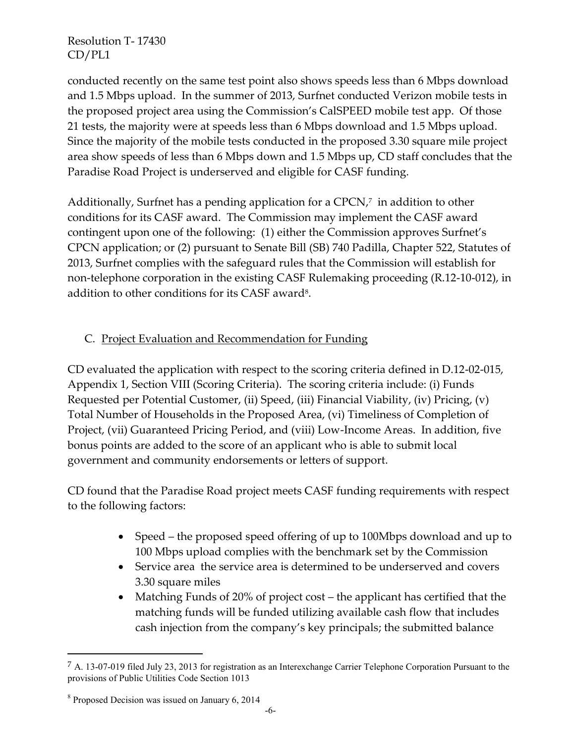conducted recently on the same test point also shows speeds less than 6 Mbps download and 1.5 Mbps upload. In the summer of 2013, Surfnet conducted Verizon mobile tests in the proposed project area using the Commission's CalSPEED mobile test app. Of those 21 tests, the majority were at speeds less than 6 Mbps download and 1.5 Mbps upload. Since the majority of the mobile tests conducted in the proposed 3.30 square mile project area show speeds of less than 6 Mbps down and 1.5 Mbps up, CD staff concludes that the Paradise Road Project is underserved and eligible for CASF funding.

Additionally, Surfnet has a pending application for a CPCN, 7 in addition to other conditions for its CASF award. The Commission may implement the CASF award contingent upon one of the following: (1) either the Commission approves Surfnet's CPCN application; or (2) pursuant to Senate Bill (SB) 740 Padilla, Chapter 522, Statutes of 2013, Surfnet complies with the safeguard rules that the Commission will establish for non-telephone corporation in the existing CASF Rulemaking proceeding (R.12-10-012), in addition to other conditions for its CASF award<sup>8</sup>.

## C. Project Evaluation and Recommendation for Funding

CD evaluated the application with respect to the scoring criteria defined in D.12-02-015, Appendix 1, Section VIII (Scoring Criteria). The scoring criteria include: (i) Funds Requested per Potential Customer, (ii) Speed, (iii) Financial Viability, (iv) Pricing, (v) Total Number of Households in the Proposed Area, (vi) Timeliness of Completion of Project, (vii) Guaranteed Pricing Period, and (viii) Low-Income Areas. In addition, five bonus points are added to the score of an applicant who is able to submit local government and community endorsements or letters of support.

CD found that the Paradise Road project meets CASF funding requirements with respect to the following factors:

- Speed the proposed speed offering of up to 100Mbps download and up to 100 Mbps upload complies with the benchmark set by the Commission
- Service area the service area is determined to be underserved and covers 3.30 square miles
- Matching Funds of 20% of project cost the applicant has certified that the matching funds will be funded utilizing available cash flow that includes cash injection from the company's key principals; the submitted balance

 $\overline{a}$ 

<sup>7</sup> A. 13-07-019 filed July 23, 2013 for registration as an Interexchange Carrier Telephone Corporation Pursuant to the provisions of Public Utilities Code Section 1013

<sup>&</sup>lt;sup>8</sup> Proposed Decision was issued on January 6, 2014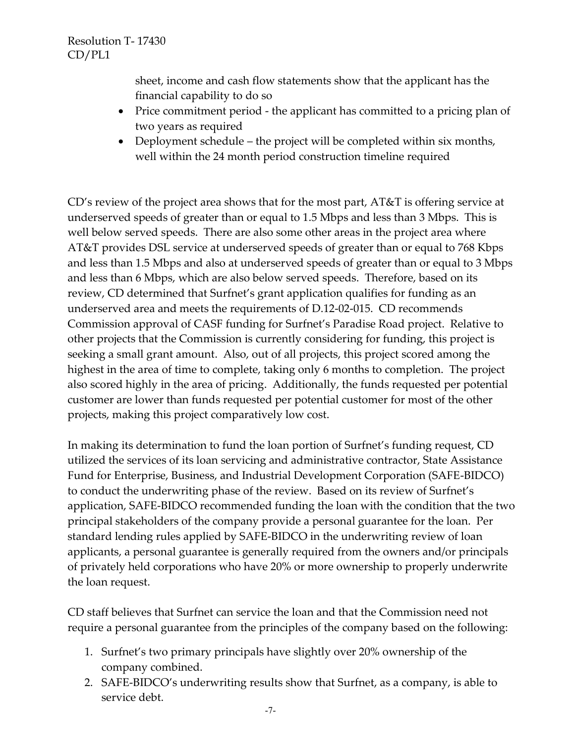sheet, income and cash flow statements show that the applicant has the financial capability to do so

- Price commitment period the applicant has committed to a pricing plan of two years as required
- Deployment schedule the project will be completed within six months, well within the 24 month period construction timeline required

CD's review of the project area shows that for the most part, AT&T is offering service at underserved speeds of greater than or equal to 1.5 Mbps and less than 3 Mbps. This is well below served speeds. There are also some other areas in the project area where AT&T provides DSL service at underserved speeds of greater than or equal to 768 Kbps and less than 1.5 Mbps and also at underserved speeds of greater than or equal to 3 Mbps and less than 6 Mbps, which are also below served speeds. Therefore, based on its review, CD determined that Surfnet's grant application qualifies for funding as an underserved area and meets the requirements of D.12-02-015. CD recommends Commission approval of CASF funding for Surfnet's Paradise Road project. Relative to other projects that the Commission is currently considering for funding, this project is seeking a small grant amount. Also, out of all projects, this project scored among the highest in the area of time to complete, taking only 6 months to completion. The project also scored highly in the area of pricing. Additionally, the funds requested per potential customer are lower than funds requested per potential customer for most of the other projects, making this project comparatively low cost.

In making its determination to fund the loan portion of Surfnet's funding request, CD utilized the services of its loan servicing and administrative contractor, State Assistance Fund for Enterprise, Business, and Industrial Development Corporation (SAFE-BIDCO) to conduct the underwriting phase of the review. Based on its review of Surfnet's application, SAFE-BIDCO recommended funding the loan with the condition that the two principal stakeholders of the company provide a personal guarantee for the loan. Per standard lending rules applied by SAFE-BIDCO in the underwriting review of loan applicants, a personal guarantee is generally required from the owners and/or principals of privately held corporations who have 20% or more ownership to properly underwrite the loan request.

CD staff believes that Surfnet can service the loan and that the Commission need not require a personal guarantee from the principles of the company based on the following:

- 1. Surfnet's two primary principals have slightly over 20% ownership of the company combined.
- 2. SAFE-BIDCO's underwriting results show that Surfnet, as a company, is able to service debt.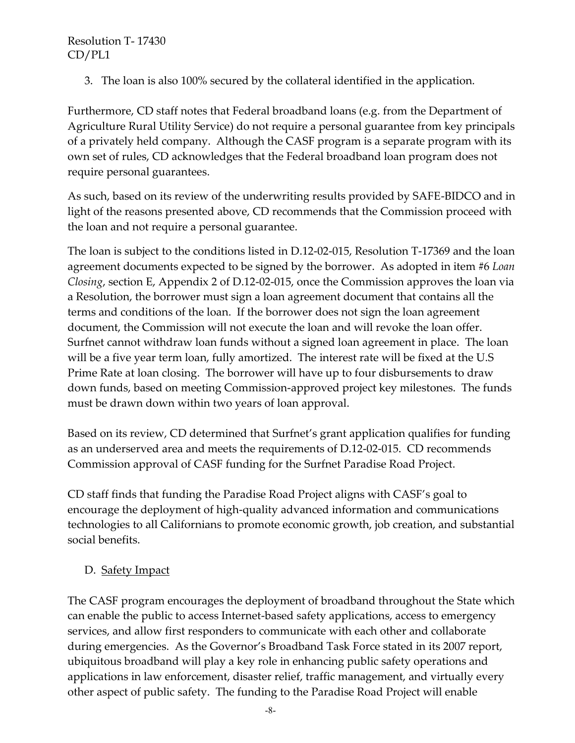3. The loan is also 100% secured by the collateral identified in the application.

Furthermore, CD staff notes that Federal broadband loans (e.g. from the Department of Agriculture Rural Utility Service) do not require a personal guarantee from key principals of a privately held company. Although the CASF program is a separate program with its own set of rules, CD acknowledges that the Federal broadband loan program does not require personal guarantees.

As such, based on its review of the underwriting results provided by SAFE-BIDCO and in light of the reasons presented above, CD recommends that the Commission proceed with the loan and not require a personal guarantee.

The loan is subject to the conditions listed in D.12-02-015, Resolution T-17369 and the loan agreement documents expected to be signed by the borrower. As adopted in item #6 *Loan Closing*, section E, Appendix 2 of D.12-02-015, once the Commission approves the loan via a Resolution, the borrower must sign a loan agreement document that contains all the terms and conditions of the loan. If the borrower does not sign the loan agreement document, the Commission will not execute the loan and will revoke the loan offer. Surfnet cannot withdraw loan funds without a signed loan agreement in place. The loan will be a five year term loan, fully amortized. The interest rate will be fixed at the U.S Prime Rate at loan closing. The borrower will have up to four disbursements to draw down funds, based on meeting Commission-approved project key milestones. The funds must be drawn down within two years of loan approval.

Based on its review, CD determined that Surfnet's grant application qualifies for funding as an underserved area and meets the requirements of D.12-02-015. CD recommends Commission approval of CASF funding for the Surfnet Paradise Road Project.

CD staff finds that funding the Paradise Road Project aligns with CASF's goal to encourage the deployment of high-quality advanced information and communications technologies to all Californians to promote economic growth, job creation, and substantial social benefits.

### D. Safety Impact

The CASF program encourages the deployment of broadband throughout the State which can enable the public to access Internet-based safety applications, access to emergency services, and allow first responders to communicate with each other and collaborate during emergencies. As the Governor's Broadband Task Force stated in its 2007 report, ubiquitous broadband will play a key role in enhancing public safety operations and applications in law enforcement, disaster relief, traffic management, and virtually every other aspect of public safety. The funding to the Paradise Road Project will enable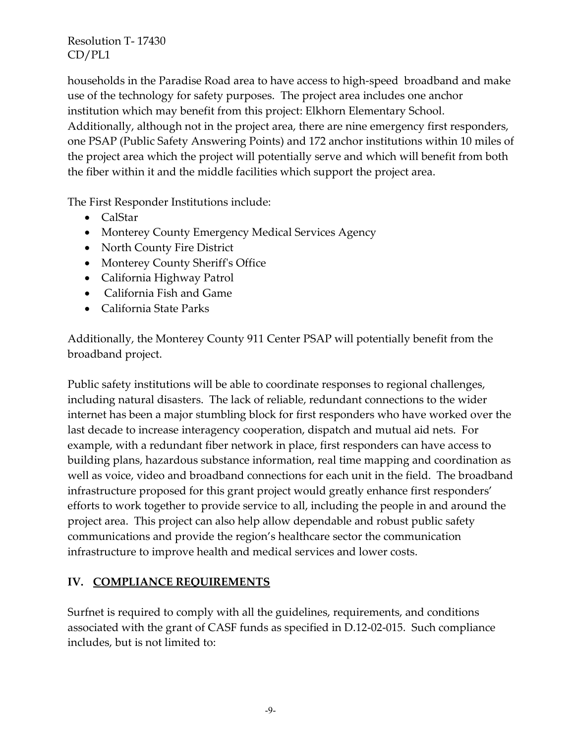households in the Paradise Road area to have access to high-speed broadband and make use of the technology for safety purposes. The project area includes one anchor institution which may benefit from this project: Elkhorn Elementary School. Additionally, although not in the project area, there are nine emergency first responders, one PSAP (Public Safety Answering Points) and 172 anchor institutions within 10 miles of the project area which the project will potentially serve and which will benefit from both the fiber within it and the middle facilities which support the project area.

The First Responder Institutions include:

- CalStar
- Monterey County Emergency Medical Services Agency
- North County Fire District
- Monterey County Sheriff's Office
- California Highway Patrol
- California Fish and Game
- California State Parks

Additionally, the Monterey County 911 Center PSAP will potentially benefit from the broadband project.

Public safety institutions will be able to coordinate responses to regional challenges, including natural disasters. The lack of reliable, redundant connections to the wider internet has been a major stumbling block for first responders who have worked over the last decade to increase interagency cooperation, dispatch and mutual aid nets. For example, with a redundant fiber network in place, first responders can have access to building plans, hazardous substance information, real time mapping and coordination as well as voice, video and broadband connections for each unit in the field. The broadband infrastructure proposed for this grant project would greatly enhance first responders' efforts to work together to provide service to all, including the people in and around the project area. This project can also help allow dependable and robust public safety communications and provide the region's healthcare sector the communication infrastructure to improve health and medical services and lower costs.

## **IV. COMPLIANCE REQUIREMENTS**

Surfnet is required to comply with all the guidelines, requirements, and conditions associated with the grant of CASF funds as specified in D.12-02-015. Such compliance includes, but is not limited to: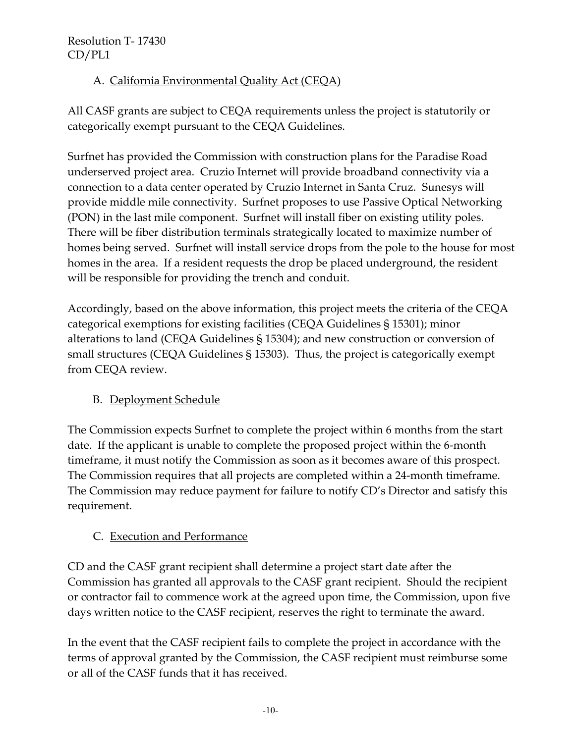# A. California Environmental Quality Act (CEQA)

All CASF grants are subject to CEQA requirements unless the project is statutorily or categorically exempt pursuant to the CEQA Guidelines.

Surfnet has provided the Commission with construction plans for the Paradise Road underserved project area. Cruzio Internet will provide broadband connectivity via a connection to a data center operated by Cruzio Internet in Santa Cruz. Sunesys will provide middle mile connectivity. Surfnet proposes to use Passive Optical Networking (PON) in the last mile component. Surfnet will install fiber on existing utility poles. There will be fiber distribution terminals strategically located to maximize number of homes being served. Surfnet will install service drops from the pole to the house for most homes in the area. If a resident requests the drop be placed underground, the resident will be responsible for providing the trench and conduit.

Accordingly, based on the above information, this project meets the criteria of the CEQA categorical exemptions for existing facilities (CEQA Guidelines § 15301); minor alterations to land (CEQA Guidelines § 15304); and new construction or conversion of small structures (CEQA Guidelines § 15303). Thus, the project is categorically exempt from CEQA review.

# B. Deployment Schedule

The Commission expects Surfnet to complete the project within 6 months from the start date. If the applicant is unable to complete the proposed project within the 6-month timeframe, it must notify the Commission as soon as it becomes aware of this prospect. The Commission requires that all projects are completed within a 24-month timeframe. The Commission may reduce payment for failure to notify CD's Director and satisfy this requirement.

# C. Execution and Performance

CD and the CASF grant recipient shall determine a project start date after the Commission has granted all approvals to the CASF grant recipient. Should the recipient or contractor fail to commence work at the agreed upon time, the Commission, upon five days written notice to the CASF recipient, reserves the right to terminate the award.

In the event that the CASF recipient fails to complete the project in accordance with the terms of approval granted by the Commission, the CASF recipient must reimburse some or all of the CASF funds that it has received.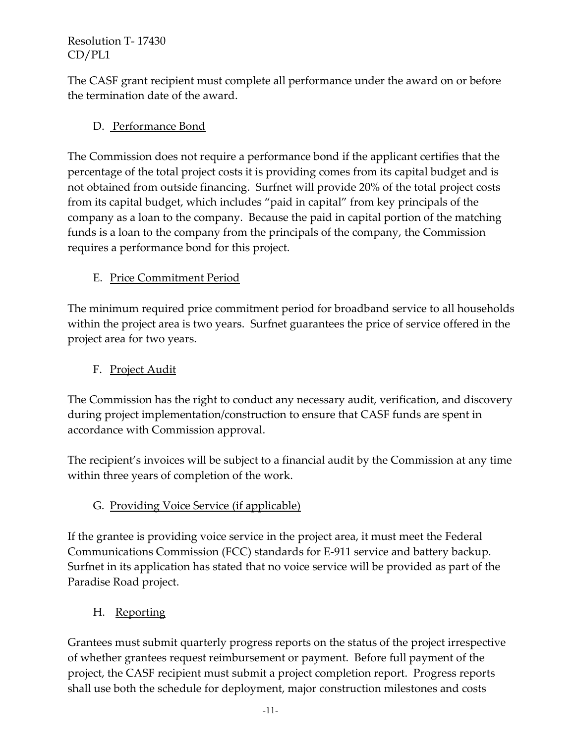The CASF grant recipient must complete all performance under the award on or before the termination date of the award.

# D. Performance Bond

The Commission does not require a performance bond if the applicant certifies that the percentage of the total project costs it is providing comes from its capital budget and is not obtained from outside financing. Surfnet will provide 20% of the total project costs from its capital budget, which includes "paid in capital" from key principals of the company as a loan to the company. Because the paid in capital portion of the matching funds is a loan to the company from the principals of the company, the Commission requires a performance bond for this project.

# E. Price Commitment Period

The minimum required price commitment period for broadband service to all households within the project area is two years. Surfnet guarantees the price of service offered in the project area for two years.

# F. Project Audit

The Commission has the right to conduct any necessary audit, verification, and discovery during project implementation/construction to ensure that CASF funds are spent in accordance with Commission approval.

The recipient's invoices will be subject to a financial audit by the Commission at any time within three years of completion of the work.

## G. Providing Voice Service (if applicable)

If the grantee is providing voice service in the project area, it must meet the Federal Communications Commission (FCC) standards for E-911 service and battery backup. Surfnet in its application has stated that no voice service will be provided as part of the Paradise Road project.

## H. Reporting

Grantees must submit quarterly progress reports on the status of the project irrespective of whether grantees request reimbursement or payment. Before full payment of the project, the CASF recipient must submit a project completion report. Progress reports shall use both the schedule for deployment, major construction milestones and costs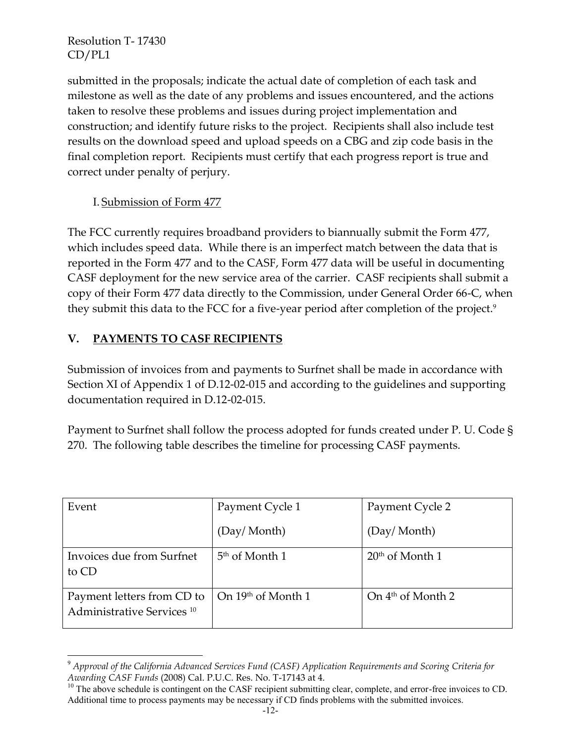submitted in the proposals; indicate the actual date of completion of each task and milestone as well as the date of any problems and issues encountered, and the actions taken to resolve these problems and issues during project implementation and construction; and identify future risks to the project. Recipients shall also include test results on the download speed and upload speeds on a CBG and zip code basis in the final completion report. Recipients must certify that each progress report is true and correct under penalty of perjury.

### I. Submission of Form 477

The FCC currently requires broadband providers to biannually submit the Form 477, which includes speed data. While there is an imperfect match between the data that is reported in the Form 477 and to the CASF, Form 477 data will be useful in documenting CASF deployment for the new service area of the carrier. CASF recipients shall submit a copy of their Form 477 data directly to the Commission, under General Order 66-C, when they submit this data to the FCC for a five-year period after completion of the project.<sup>9</sup>

## **V. PAYMENTS TO CASF RECIPIENTS**

Submission of invoices from and payments to Surfnet shall be made in accordance with Section XI of Appendix 1 of D.12-02-015 and according to the guidelines and supporting documentation required in D.12-02-015.

Payment to Surfnet shall follow the process adopted for funds created under P. U. Code § 270. The following table describes the timeline for processing CASF payments.

| Event                                                               | Payment Cycle 1                       | Payment Cycle 2     |
|---------------------------------------------------------------------|---------------------------------------|---------------------|
|                                                                     | (Day/ Month)                          | (Day/Month)         |
| Invoices due from Surfnet<br>to CD                                  | 5 <sup>th</sup> of Month 1            | $20th$ of Month 1   |
| Payment letters from CD to<br>Administrative Services <sup>10</sup> | $\Box$ On 19 <sup>th</sup> of Month 1 | On $4th$ of Month 2 |

 $\overline{a}$ <sup>9</sup> *Approval of the California Advanced Services Fund (CASF) Application Requirements and Scoring Criteria for Awarding CASF Funds* (2008) Cal. P.U.C. Res. No. T-17143 at 4.

<sup>&</sup>lt;sup>10</sup> The above schedule is contingent on the CASF recipient submitting clear, complete, and error-free invoices to CD. Additional time to process payments may be necessary if CD finds problems with the submitted invoices.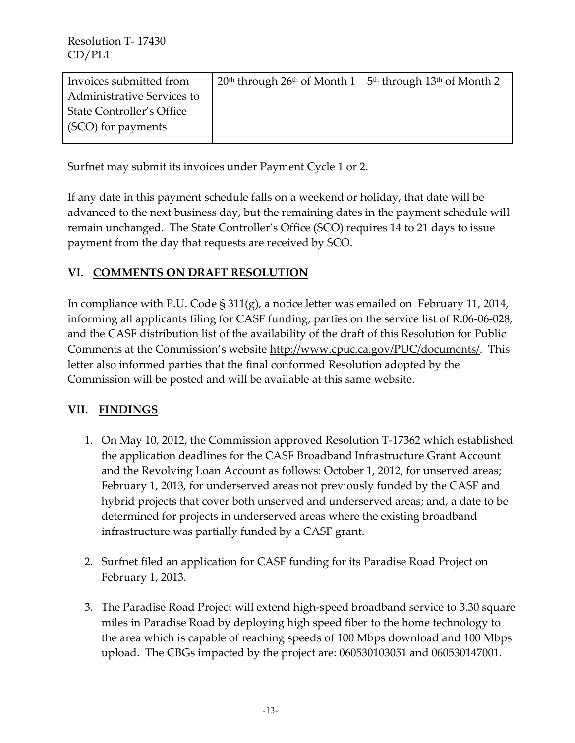| Invoices submitted from           | $20th$ through $26th$ of Month 1 | 5 <sup>th</sup> through 13 <sup>th</sup> of Month 2 |
|-----------------------------------|----------------------------------|-----------------------------------------------------|
| <b>Administrative Services to</b> |                                  |                                                     |
| <b>State Controller's Office</b>  |                                  |                                                     |
| (SCO) for payments                |                                  |                                                     |
|                                   |                                  |                                                     |

Surfnet may submit its invoices under Payment Cycle 1 or 2.

If any date in this payment schedule falls on a weekend or holiday, that date will be advanced to the next business day, but the remaining dates in the payment schedule will remain unchanged. The State Controller's Office (SCO) requires 14 to 21 days to issue payment from the day that requests are received by SCO.

### **VI. COMMENTS ON DRAFT RESOLUTION**

In compliance with P.U. Code § 311(g), a notice letter was emailed on February 11, 2014, informing all applicants filing for CASF funding, parties on the service list of R.06-06-028, and the CASF distribution list of the availability of the draft of this Resolution for Public Comments at the Commission's website [http://www.cpuc.ca.gov/PUC/documents/.](http://www.cpuc.ca.gov/PUC/documents/) This letter also informed parties that the final conformed Resolution adopted by the Commission will be posted and will be available at this same website.

### **VII. FINDINGS**

- 1. On May 10, 2012, the Commission approved Resolution T-17362 which established the application deadlines for the CASF Broadband Infrastructure Grant Account and the Revolving Loan Account as follows: October 1, 2012, for unserved areas; February 1, 2013, for underserved areas not previously funded by the CASF and hybrid projects that cover both unserved and underserved areas; and, a date to be determined for projects in underserved areas where the existing broadband infrastructure was partially funded by a CASF grant.
- 2. Surfnet filed an application for CASF funding for its Paradise Road Project on February 1, 2013.
- 3. The Paradise Road Project will extend high-speed broadband service to 3.30 square miles in Paradise Road by deploying high speed fiber to the home technology to the area which is capable of reaching speeds of 100 Mbps download and 100 Mbps upload. The CBGs impacted by the project are: 060530103051 and 060530147001.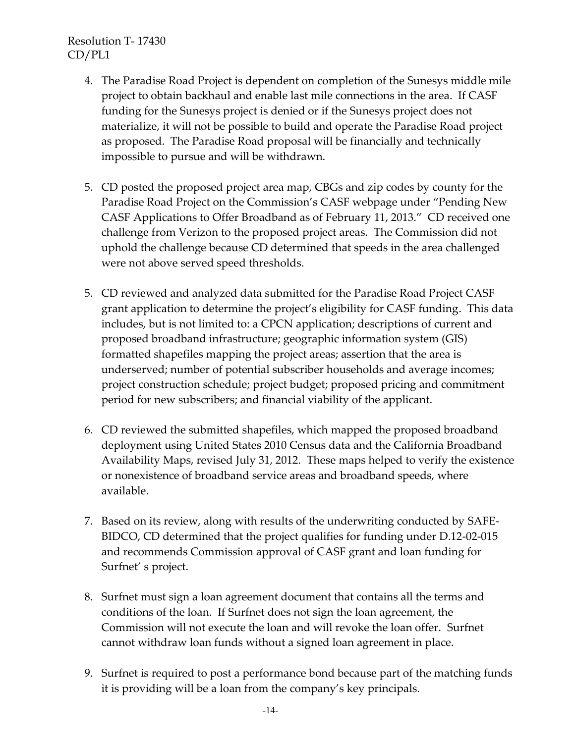- 4. The Paradise Road Project is dependent on completion of the Sunesys middle mile project to obtain backhaul and enable last mile connections in the area. If CASF funding for the Sunesys project is denied or if the Sunesys project does not materialize, it will not be possible to build and operate the Paradise Road project as proposed. The Paradise Road proposal will be financially and technically impossible to pursue and will be withdrawn.
- 5. CD posted the proposed project area map, CBGs and zip codes by county for the Paradise Road Project on the Commission's CASF webpage under "Pending New CASF Applications to Offer Broadband as of February 11, 2013." CD received one challenge from Verizon to the proposed project areas. The Commission did not uphold the challenge because CD determined that speeds in the area challenged were not above served speed thresholds.
- 5. CD reviewed and analyzed data submitted for the Paradise Road Project CASF grant application to determine the project's eligibility for CASF funding. This data includes, but is not limited to: a CPCN application; descriptions of current and proposed broadband infrastructure; geographic information system (GIS) formatted shapefiles mapping the project areas; assertion that the area is underserved; number of potential subscriber households and average incomes; project construction schedule; project budget; proposed pricing and commitment period for new subscribers; and financial viability of the applicant.
- 6. CD reviewed the submitted shapefiles, which mapped the proposed broadband deployment using United States 2010 Census data and the California Broadband Availability Maps, revised July 31, 2012. These maps helped to verify the existence or nonexistence of broadband service areas and broadband speeds, where available.
- 7. Based on its review, along with results of the underwriting conducted by SAFE-BIDCO, CD determined that the project qualifies for funding under D.12-02-015 and recommends Commission approval of CASF grant and loan funding for Surfnet' s project.
- 8. Surfnet must sign a loan agreement document that contains all the terms and conditions of the loan. If Surfnet does not sign the loan agreement, the Commission will not execute the loan and will revoke the loan offer. Surfnet cannot withdraw loan funds without a signed loan agreement in place.
- 9. Surfnet is required to post a performance bond because part of the matching funds it is providing will be a loan from the company's key principals.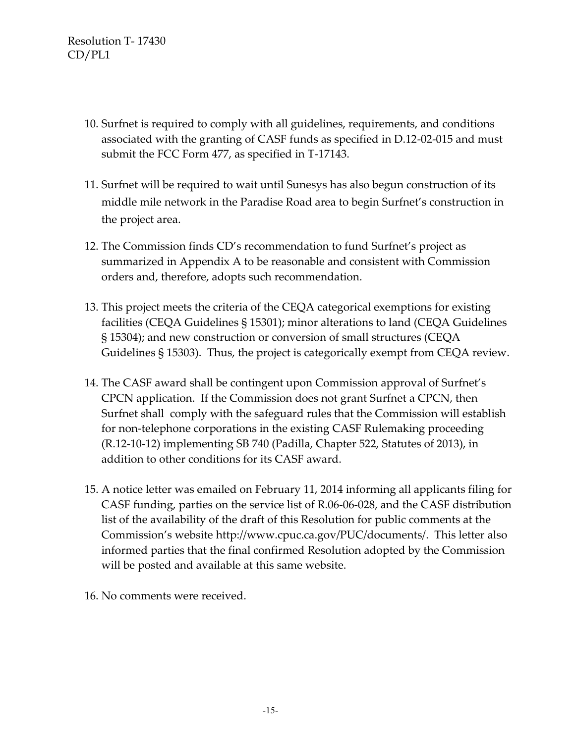- 10. Surfnet is required to comply with all guidelines, requirements, and conditions associated with the granting of CASF funds as specified in D.12-02-015 and must submit the FCC Form 477, as specified in T-17143.
- 11. Surfnet will be required to wait until Sunesys has also begun construction of its middle mile network in the Paradise Road area to begin Surfnet's construction in the project area.
- 12. The Commission finds CD's recommendation to fund Surfnet's project as summarized in Appendix A to be reasonable and consistent with Commission orders and, therefore, adopts such recommendation.
- 13. This project meets the criteria of the CEQA categorical exemptions for existing facilities (CEQA Guidelines § 15301); minor alterations to land (CEQA Guidelines § 15304); and new construction or conversion of small structures (CEQA Guidelines § 15303). Thus, the project is categorically exempt from CEQA review.
- 14. The CASF award shall be contingent upon Commission approval of Surfnet's CPCN application. If the Commission does not grant Surfnet a CPCN, then Surfnet shall comply with the safeguard rules that the Commission will establish for non-telephone corporations in the existing CASF Rulemaking proceeding (R.12-10-12) implementing SB 740 (Padilla, Chapter 522, Statutes of 2013), in addition to other conditions for its CASF award.
- 15. A notice letter was emailed on February 11, 2014 informing all applicants filing for CASF funding, parties on the service list of R.06-06-028, and the CASF distribution list of the availability of the draft of this Resolution for public comments at the Commission's website [http://www.cpuc.ca.gov/PUC/documents/.](http://www.cpuc.ca.gov/PUC/documents/) This letter also informed parties that the final confirmed Resolution adopted by the Commission will be posted and available at this same website.
- 16. No comments were received.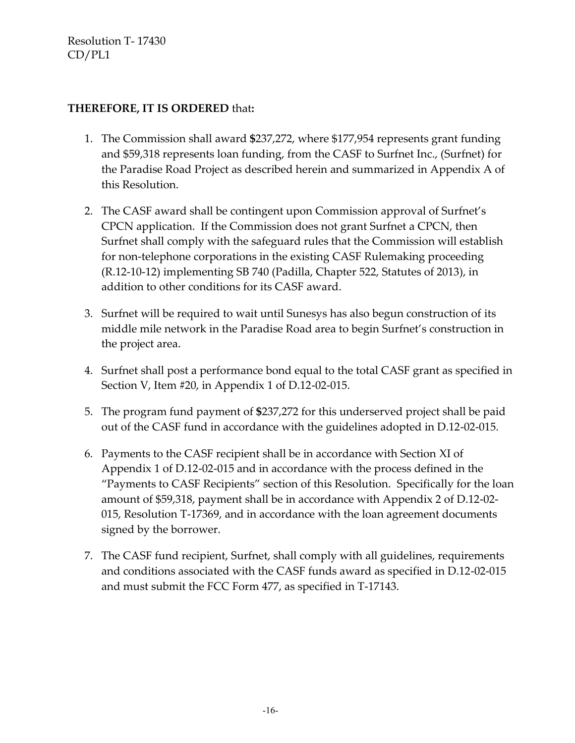#### **THEREFORE, IT IS ORDERED** that**:**

- 1. The Commission shall award **\$**237,272, where \$177,954 represents grant funding and \$59,318 represents loan funding, from the CASF to Surfnet Inc., (Surfnet) for the Paradise Road Project as described herein and summarized in Appendix A of this Resolution.
- 2. The CASF award shall be contingent upon Commission approval of Surfnet's CPCN application. If the Commission does not grant Surfnet a CPCN, then Surfnet shall comply with the safeguard rules that the Commission will establish for non-telephone corporations in the existing CASF Rulemaking proceeding (R.12-10-12) implementing SB 740 (Padilla, Chapter 522, Statutes of 2013), in addition to other conditions for its CASF award.
- 3. Surfnet will be required to wait until Sunesys has also begun construction of its middle mile network in the Paradise Road area to begin Surfnet's construction in the project area.
- 4. Surfnet shall post a performance bond equal to the total CASF grant as specified in Section V, Item #20, in Appendix 1 of D.12-02-015.
- 5. The program fund payment of **\$**237,272 for this underserved project shall be paid out of the CASF fund in accordance with the guidelines adopted in D.12-02-015.
- 6. Payments to the CASF recipient shall be in accordance with Section XI of Appendix 1 of D.12-02-015 and in accordance with the process defined in the "Payments to CASF Recipients" section of this Resolution. Specifically for the loan amount of \$59,318, payment shall be in accordance with Appendix 2 of D.12-02- 015, Resolution T-17369, and in accordance with the loan agreement documents signed by the borrower.
- 7. The CASF fund recipient, Surfnet, shall comply with all guidelines, requirements and conditions associated with the CASF funds award as specified in D.12-02-015 and must submit the FCC Form 477, as specified in T-17143.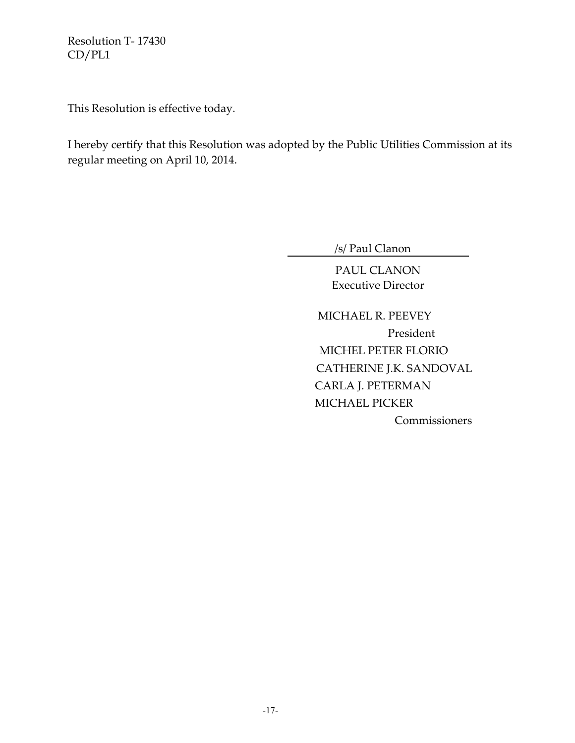This Resolution is effective today.

I hereby certify that this Resolution was adopted by the Public Utilities Commission at its regular meeting on April 10, 2014.

/s/ Paul Clanon

PAUL CLANON Executive Director

 MICHAEL R. PEEVEY President MICHEL PETER FLORIO CATHERINE J.K. SANDOVAL CARLA J. PETERMAN MICHAEL PICKER **Commissioners**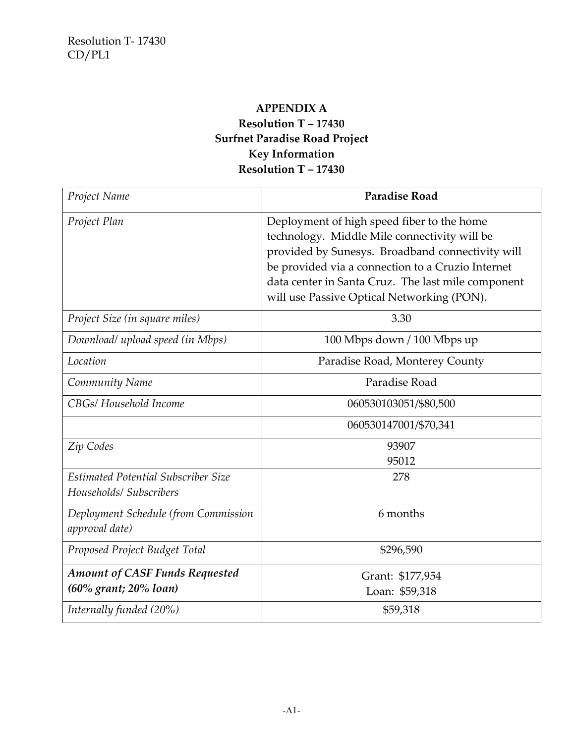### **APPENDIX A**

# **Resolution T – 17430 Surfnet Paradise Road Project Key Information Resolution T – 17430**

| Project Name                                                   | <b>Paradise Road</b>                                                                                                                                                                                                                                                                                    |
|----------------------------------------------------------------|---------------------------------------------------------------------------------------------------------------------------------------------------------------------------------------------------------------------------------------------------------------------------------------------------------|
| Project Plan                                                   | Deployment of high speed fiber to the home<br>technology. Middle Mile connectivity will be<br>provided by Sunesys. Broadband connectivity will<br>be provided via a connection to a Cruzio Internet<br>data center in Santa Cruz. The last mile component<br>will use Passive Optical Networking (PON). |
| Project Size (in square miles)                                 | 3.30                                                                                                                                                                                                                                                                                                    |
| Download/ upload speed (in Mbps)                               | 100 Mbps down / 100 Mbps up                                                                                                                                                                                                                                                                             |
| Location                                                       | Paradise Road, Monterey County                                                                                                                                                                                                                                                                          |
| Community Name                                                 | Paradise Road                                                                                                                                                                                                                                                                                           |
| CBGs/ Household Income                                         | 060530103051/\$80,500                                                                                                                                                                                                                                                                                   |
|                                                                | 060530147001/\$70,341                                                                                                                                                                                                                                                                                   |
| Zip Codes                                                      | 93907<br>95012                                                                                                                                                                                                                                                                                          |
| Estimated Potential Subscriber Size<br>Households/ Subscribers | 278                                                                                                                                                                                                                                                                                                     |
| Deployment Schedule (from Commission<br>approval date)         | 6 months                                                                                                                                                                                                                                                                                                |
| Proposed Project Budget Total                                  | \$296,590                                                                                                                                                                                                                                                                                               |
| <b>Amount of CASF Funds Requested</b><br>(60% grant; 20% loan) | Grant: \$177,954<br>Loan: \$59,318                                                                                                                                                                                                                                                                      |
| Internally funded (20%)                                        | \$59,318                                                                                                                                                                                                                                                                                                |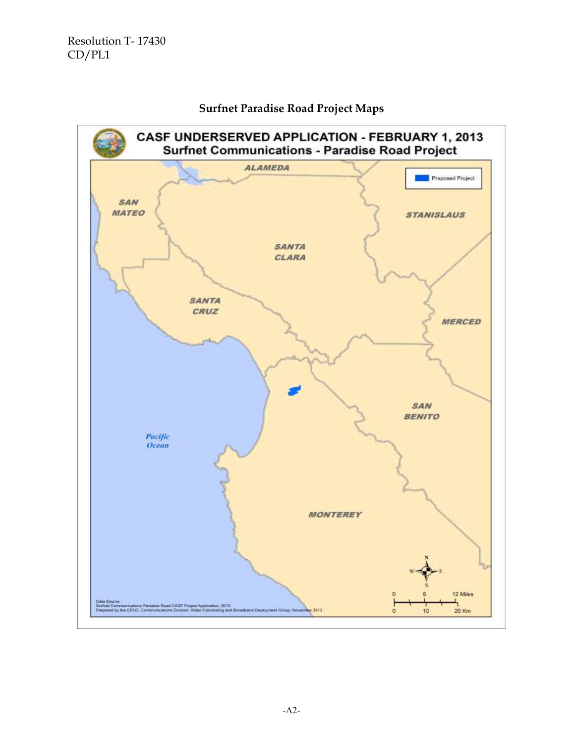

#### **Surfnet Paradise Road Project Maps**